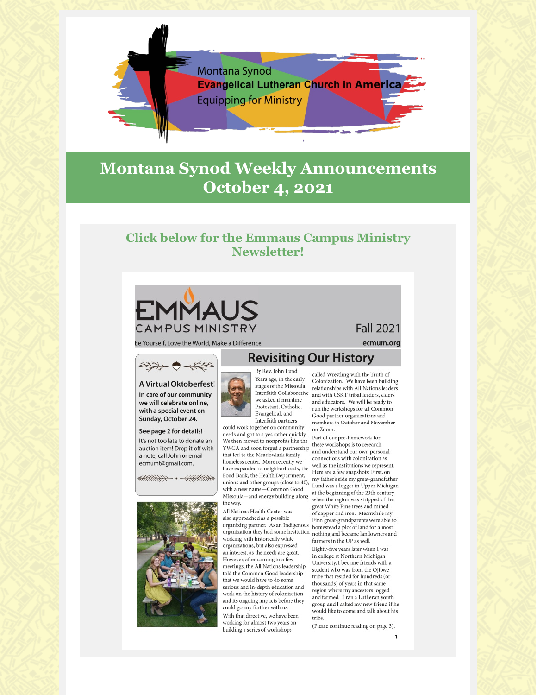

# **Montana Synod Weekly Announcements October 4, 2021**

## **Click below for the Emmaus Campus Ministry Newsletter!**



Be Yourself, Love the World, Make a Difference

# **\*\*\* ●大作**

A Virtual Oktoberfest! In care of our community we will celebrate online, with a special event on

### Sunday, October 24. See page 2 for details!

It's not too late to donate an auction item! Drop it off with a note, call John or email ecmumt@gmail.com.

 $+\frac{1}{2}$ 



Years ago, in the early stages of the Missoula Interfaith Collaborative we asked if mainline Protestant, Catholic, Evangelical, and Interfaith partners could work together on community

needs and got to a yes rather quickly. We then moved to nonprofits like the YWCA and soon forged a partnership that led to the Meadowlark family homeless center. More recently we have expanded to neighborhoods, the Food Bank, the Health Department, unions and other groups (close to 40), with a new name-Common Good Missoula-and energy building along the way.

All Nations Health Center was also approached as a possible organizing partner. As an Indigenous organization they had some hesitation working with historically white organizations, but also expressed an interest, as the needs are great. However, after coming to a few meetings, the All Nations leadership told the Common Good leadership that we would have to do some serious and in-depth education and work on the history of colonization and its ongoing impacts before they could go any further with us. With that directive, we have been working for almost two years on building a series of workshops

called Wrestling with the Truth of Colonization. We have been building relationships with All Nations leaders and with CSKT tribal leaders, elders and educators. We will be ready to run the workshops for all Common Good partner organizations and members in October and November on Zoom.

Part of our pre-homework for these workshops is to research and understand our own personal connections with colonization as well as the institutions we represent. Here are a few snapshots: First, on my father's side my great-grandfather Lund was a logger in Upper Michigan at the beginning of the 20th century when the region was stripped of the great White Pine trees and mined of copper and iron. Meanwhile my Finn great-grandparents were able to homestead a plot of land for almost nothing and became landowners and farmers in the UP as well.

Eighty-five years later when I was in college at Northern Michigan University, I became friends with a student who was from the Ojibwe tribe that resided for hundreds (or thousands) of years in that same region where my ancestors logged and farmed. I ran a Lutheran youth group and I asked my new friend if he would like to come and talk about his tribe.

(Please continue reading on page 3).

## **Fall 2021**

ecmum.org

### **Revisiting Our History** By Rev. John Lund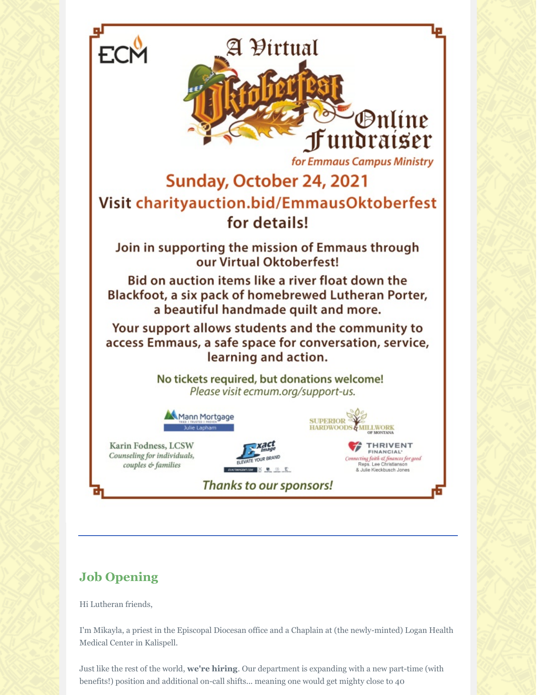

# **Job Opening**

Hi Lutheran friends,

I'm Mikayla, a priest in the Episcopal Diocesan office and a Chaplain at (the newly-minted) Logan Health Medical Center in Kalispell.

Just like the rest of the world, **we're hiring**. Our department is expanding with a new part-time (with benefits!) position and additional on-call shifts... meaning one would get mighty close to 40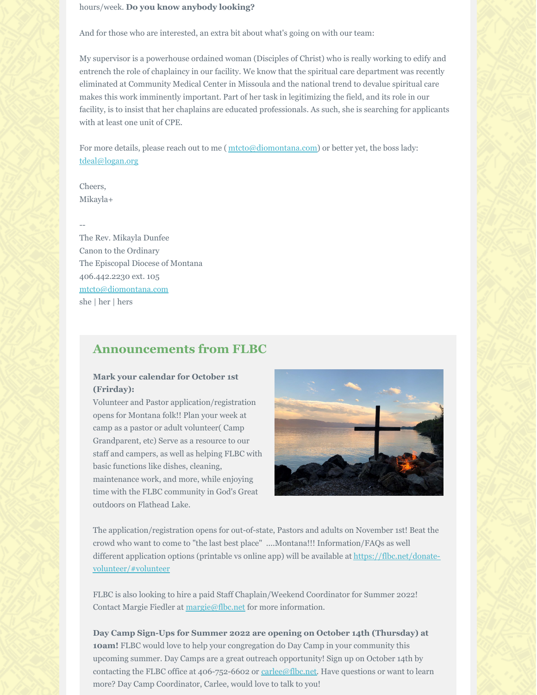#### hours/week. **Do you know anybody looking?**

And for those who are interested, an extra bit about what's going on with our team:

My supervisor is a powerhouse ordained woman (Disciples of Christ) who is really working to edify and entrench the role of chaplaincy in our facility. We know that the spiritual care department was recently eliminated at Community Medical Center in Missoula and the national trend to devalue spiritual care makes this work imminently important. Part of her task in legitimizing the field, and its role in our facility, is to insist that her chaplains are educated professionals. As such, she is searching for applicants with at least one unit of CPE.

For more details, please reach out to me ( $mcto$ @diomontana.com) or better yet, the boss lady: tdeal@logan.org

Cheers, Mikayla+

--

The Rev. Mikayla Dunfee Canon to the Ordinary The Episcopal Diocese of Montana 406.442.2230 ext. 105 mtcto@diomontana.com she | her | hers

### **Announcements from FLBC**

### **Mark your calendar for October 1st (Frirday):**

Volunteer and Pastor application/registration opens for Montana folk!! Plan your week at camp as a pastor or adult volunteer( Camp Grandparent, etc) Serve as a resource to our staff and campers, as well as helping FLBC with basic functions like dishes, cleaning, maintenance work, and more, while enjoying time with the FLBC community in God's Great outdoors on Flathead Lake.



The application/registration opens for out-of-state, Pastors and adults on November 1st! Beat the crowd who want to come to "the last best place" ....Montana!!! Information/FAQs as well different application options (printable vs online app) will be available at https://flbc.net/donatevolunteer/#volunteer

FLBC is also looking to hire a paid Staff Chaplain/Weekend Coordinator for Summer 2022! Contact Margie Fiedler at margie@flbc.net for more information.

**Day Camp Sign-Ups for Summer 2022 are opening on October 14th (Thursday) at 10am!** FLBC would love to help your congregation do Day Camp in your community this upcoming summer. Day Camps are a great outreach opportunity! Sign up on October 14th by contacting the FLBC office at 406-752-6602 or carlee@flbc.net. Have questions or want to learn more? Day Camp Coordinator, Carlee, would love to talk to you!